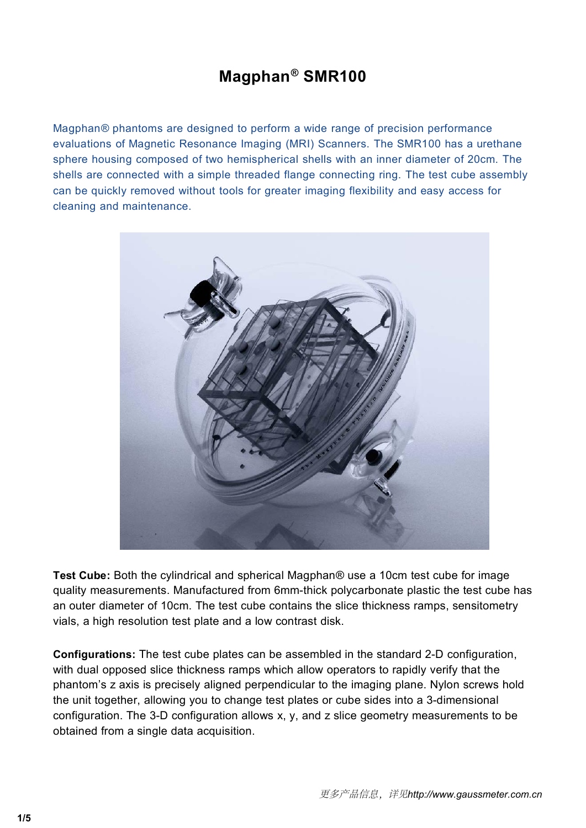# **Magphan® SMR100**

**Magphan® phantoms are designed to perform a wide range of precision performance**<br>evaluations of Magnetic Resonance Imaging (MRI) Scanners. The SMR100 has a urethane<br>sphere housing composed of two hemispherical shells with **Magphan**<sup>®</sup> **SMR100**<br>Magphan® phantoms are designed to perform a wide range of precision performance<br>evaluations of Magnetic Resonance Imaging (MRI) Scanners. The SMR100 has a urethane<br>sphere housing composed of two hemis **Magphan**<sup>®</sup> **SMR100**<br>Magphan<sup>®</sup> phantoms are designed to perform a wide range of precision performance<br>evaluations of Magnetic Resonance Imaging (MRI) Scanners. The SMR100 has a urethane<br>shells are connected with a simple **Magphan**<sup>®</sup> **SMR100**<br>Magphan® phantoms are designed to perform a wide range of precision performance<br>evaluations of Magnetic Resonance Imaging (MRI) Scanners. The SMR100 has a urethane<br>shells are connected with a simple t **Magphan<sup>®</sup> SMR100**<br>Magphan® phantoms are designed to perform a wide range of precision performance<br>evaluations of Magnetic Resonance Imaging (MRI) Scanners. The SMR100 has a urethane<br>sphere housing composed of two hemisph **Magphan**® phantoms are designed to perform<br>evaluations of Magnetic Resonance Imaging<br>sphere housing composed of two hemispheric<br>shells are connected with a simple threaded to<br>can be quickly removed without tools for grea<br>



Test Cube: Both the cylindrical and spherical Magphan® use a 10cm test cube for image<br>quality measurements. Manufactured from 6mm-thick polycarbonate plastic the test cube has<br>an outer diameter of 10cm. The test cube conta Test Cube: Both the cylindrical and spherical Magphan® use a 10cm test cube for image<br>quality measurements. Manufactured from 6mm-thick polycarbonate plastic the test cube has<br>an outer diameter of 10cm. The test cube conta Test Cube: Both the cylindrical and spherical Magphan® use a 10cm test cube for image<br>quality measurements. Manufactured from 6mm-thick polycarbonate plastic the test cube has<br>an outer diameter of 10cm. The test cube conta Test Cube: Both the cylindrical and spherical Magphan® use a 10cm test cube for image<br>quality measurements. Manufactured from 6mm-thick polycarbonate plastic the test cube has<br>an outer diameter of 10cm. The test cube conta Test Cube: Both the cylindrical and spherical Magphan® use<br>quality measurements. Manufactured from 6mm-thick polyca<br>an outer diameter of 10cm. The test cube contains the slice t<br>vials, a high resolution test plate and a lo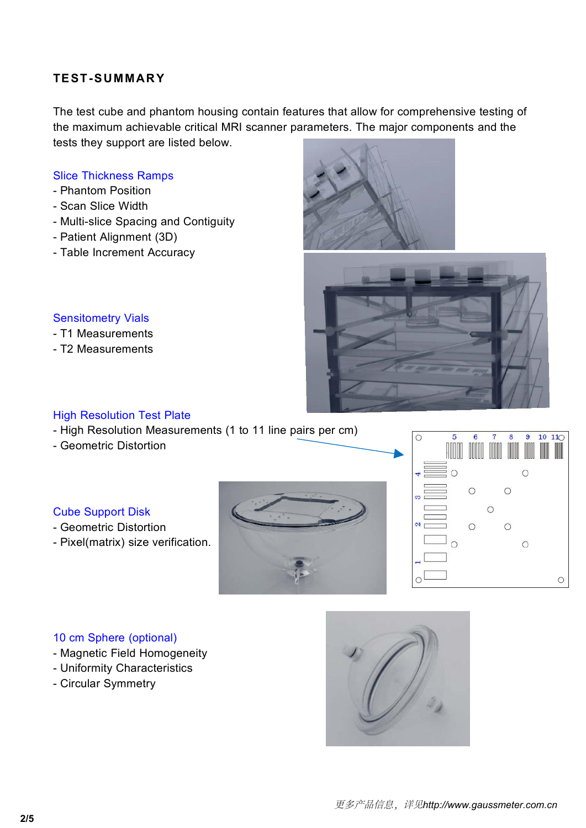**TEST-SUMMARY**<br>The test cube and phantom housing contain features the<br>the maximum achievable critical MRI scanner paramet<br>tests they support are listed below TEST-SUMMARY<br>The test cube and phantom housing contain features that allow for comprehensive testing of<br>the maximum achievable critical MRI scanner parameters. The major components and the<br>tests they support are listed bel TEST-SUMMARY<br>The test cube and phantom housing contain features that allow for comprehensive testing of<br>the maximum achievable critical MRI scanner parameters. The major components and the<br>tests they support are listed bel TEST-SUMMARY<br>The test cube and phantom housing contain features that allo<br>the maximum achievable critical MRI scanner parameters. Th<br>tests they support are listed below.<br>Slice Thickness Ramps<br>- Phantom Position TEST-SUMMARY<br>
The test cube and phantom housing contain feature<br>
the maximum achievable critical MRI scanner par<br>
tests they support are listed below.<br>
Slice Thickness Ramps<br>
- Phantom Position<br>
- Scan Slice Width<br>
- Multi TEST-SUMMARY<br>The test cube and phantom housing contain<br>the maximum achievable critical MRI scanne<br>tests they support are listed below.<br>Slice Thickness Ramps<br>- Phantom Position<br>- Scan Slice Width<br>- Multi-slice Spacing and C TEST-SUMMARY<br>The test cube and phantom housing contain for<br>the maximum achievable critical MRI scanner<br>tests they support are listed below.<br>Slice Thickness Ramps<br>- Phantom Position<br>- Scan Slice Width<br>- Multi-slice Spacing TEST-SUMMARY<br>
The test cube and phantom housing contain features that at<br>
the maximum achievable critical MRI scanner parameters.<br>
tests they support are listed below.<br>
Slice Thickness Ramps<br>
- Phantom Position<br>
- Scan Sli TEST-SUMMARY<br>
The test cube and phantom housing contain features<br>
the maximum achievable critical MRI scanner parametests they support are listed below.<br>
Slice Thickness Ramps<br>
- Phantom Position<br>
- Scan Slice Width<br>
- Mul The test cube and phantom housing contain feature<br>the maximum achievable critical MRI scanner parar<br>tests they support are listed below.<br>Slice Thickness Ramps<br>- Phantom Position<br>- Scan Slice Width<br>- Multi-slice Spacing and

- 
- 
- Slice Thickness Ramps<br>- Phantom Position<br>- Scan Slice Width<br>- Multi-slice Spacing and Contiguity<br>- Patient Alignment (3D)<br>- Table Increment Accuracy<br>Sensitometry Vials<br>- T1 Measurements<br>- T2 Measurements Slice Thickness Ramps<br>- Phantom Position<br>- Scan Slice Width<br>- Multi-slice Spacing and Contiguity<br>- Patient Alignment (3D)<br>- Table Increment Accuracy<br>Sensitometry Vials<br>- T1 Measurements<br>- T2 Measurements - Phantom Position<br>- Scan Slice Width<br>- Multi-slice Spacing and Contiguity<br>- Patient Alignment (3D)<br>- Table Increment Accuracy<br>Sensitometry Vials<br>- T1 Measurements<br>- T2 Measurements
- 
- 





- 
- 

- Sensitometry Vials<br>- T1 Measurements<br>- T2 Measurements<br>High Resolution Test Plate<br>- High Resolution Measurements (1 to 11 line<br>- Geometric Distortion
- 

- 
- 





- 
- 
- 

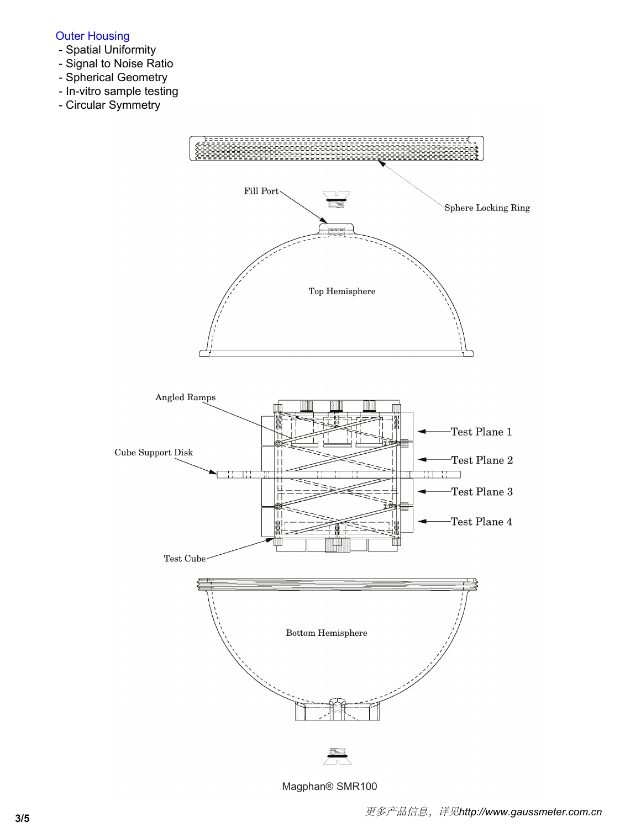## Outer Housing

- Spatial Uniformity
- Signal to Noise Ratio
- Spherical Geometry
- In-vitro sample testing
- Circular Symmetry



Magphan® SMR100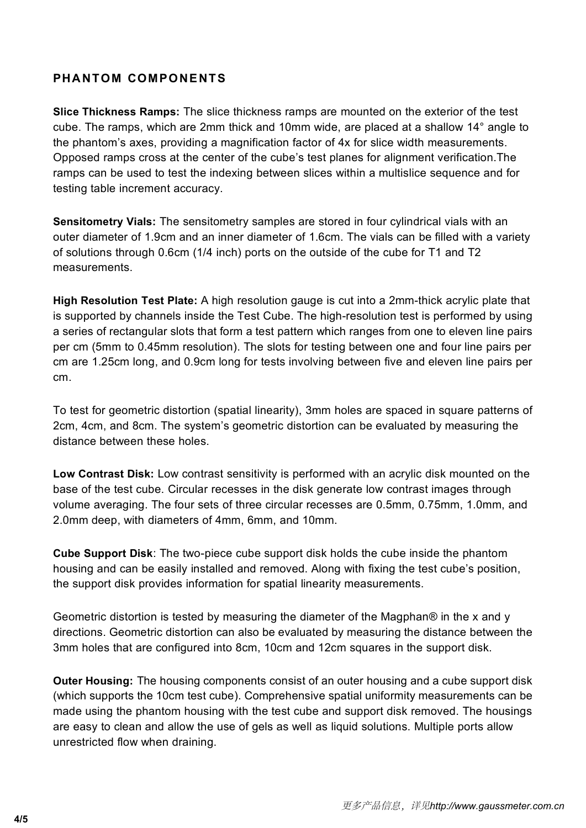**PHANTOM COMPONENTS**<br>**Slice Thickness Ramps:** The slice thickness ramps are mounted<br>cube. The ramps, which are 2mm thick and 10mm wide, are plat<br>the phantom's axes, providing a magnification factor of 4x for s **PHANTOM COMPONENTS**<br>Slice Thickness Ramps: The slice thickness ramps are mounted on the exterior of the test<br>cube. The ramps, which are 2mm thick and 10mm wide, are placed at a shallow 14° angle to<br>the phantom's axes, pro **PHANTOM COMPONENTS**<br>Slice Thickness Ramps: The slice thickness ramps are mounted on the exterior of the test<br>cube. The ramps, which are 2mm thick and 10mm wide, are placed at a shallow 14° angle to<br>the phantom's axes, pro **PHANTOM COMPONENTS**<br>Slice Thickness Ramps: The slice thickness ramps are mounted on the exterior of the test<br>cube. The ramps, which are 2mm thick and 10mm wide, are placed at a shallow 14° angle to<br>the phantom's axes, pro PHANTOM COMPONENTS<br>Slice Thickness Ramps: The slice thickness ramps are mounted on the exterior of the test<br>cube. The ramps, which are 2mm thick and 10mm wide, are placed at a shallow 14° angle to<br>the phantom's axes, provi **PHANTOM COMPONENTS**<br>Slice Thickness Ramps: The slice thickness ramps are mounted on the exterior of the test<br>cube. The ramps, which are 2mm thick and 10mm wide, are placed at a shallow 14° angle to<br>the phantom's axes, pro **PHANTOM COMPONENTS**<br>Slice Thickness Ramps: The slice thickness ramps are r<br>cube. The ramps, which are 2mm thick and 10mm wide,<br>the phantom's axes, providing a magnification factor of 4<br>Opposed ramps cross at the center of **Selice Thickness Ramps:** The slice thickness ramps are mounted on the exterior of the test cube. The ramps, which are 2mm thick and 10mm wide, are placed at a shallow 14° angle to the phantom's axes, providing a magnifica **PHANTOM COMPONENTS**<br>Slice Thickness Ramps: The slice thickness ramps are mounted on the exterior of the test<br>cube. The ramps, which are 2mm thick and 10mm wide, are placed at a shallow 14° angle to<br>the phantom's axes, pr Slice Thickness Ramps: The slice thickness ramps are mounted on the exterior of the test cube. The ramps, which are  $2mm$  thick and  $10mm$  wide, are placed at a shallow  $14^{\circ}$  angle to the phantom's axes, providing a magn

measurements.

the phantom's axes, providing a magnification factor of 4x for slice width measurements.<br>Opposed ramps cross at the center of the cube's test planes for alignment verification. The<br>ramps can be used to test the indexing be Opposed ramps cross at the center of the cube's test planes for alignment verification. The<br>ramps can be used to test the indexing between slices within a multislice sequence and for<br>testing table increment accuracy.<br>**Sens** ramps can be used to test the indexing between slices within a multislice sequence and for<br>testing table increment accuracy.<br>**Sensitometry Vials:** The sensitometry samples are stored in four cylindrical vials with an<br>outer testing table increment accuracy.<br> **Sensitometry Vials:** The sensitometry samples are stored in four cylindrical vials with an<br>
outer diameter of 1.9cm and an inner diameter of 1.6cm. The vials can be filled with a variety **Sensitometry Vials:** The sensitometry samples are stored in four cylindrical vials with an outer diameter of 1.9cm and an inner diameter of 1.6cm. The vials can be filled with a variety of solutions through 0.6cm (1/4 inc cm. of solutions through 0.6cm (1/4 inch) ports on the outside of the cube for T1 and T2<br>measurements.<br>High Resolution Test Plate: A high resolution gauge is cut into a 2mm-thick acrylic plate that<br>is supported by channels ins measurements.<br> **High Resolution Test Plate:** A high resolution gauge is cut into a 2mm-thick acrylic plate that<br>
is supported by channels inside the Test Cube. The high-resolution test is performed by using<br>
a series of re High Resolution Test Plate: A high resolution gauge is cuis supported by channels inside the Test Cube. The high-<br>a series of rectangular slots that form a test pattern which<br>per cm (5mm to 0.45mm resolution). The slots fo is supported by channels inside the Test Cube. The high-resolution test is performed by using<br>a series of rectangular slots that form a test pattern which ranges from one to eleven line pairs<br>per cm (5mm to 0.45mm resoluti a series of rectangular slots that form a test pattern which ranges from one to eleven line pairs<br>per cm (5mm to 0.45mm resolution). The slots for testing between one and four line pairs per<br>cm are 1.25cm long, and 0.9cm l

per cm (5mm to 0.45mm resolution). The slots for testing between one and four line pairs per<br>cm are 1.25cm long, and 0.9cm long for tests involving between five and eleven line pairs per<br>cm.<br>To test for geometric distortio ordinate in 2.25cm long, and 0.9cm long for tests involving between five and eleven limon.<br>
2.0mm and the system's geometric distortion can be evaluated by measure 2cm, 4cm, and 8cm. The system's geometric distortion can b To test for geometric distortion (spatial linearity), 3mm holes are spaced in square patterns of 2cm, 4cm, and 8cm. The system's geometric distortion can be evaluated by measuring the distance between these holes.<br> **Low Co** To test for geometric distortion (spatial linearity), 3mm holes are spaced in square patterns of<br>2cm, 4cm, and 8cm. The system's geometric distortion can be evaluated by measuring the<br>distance between these holes.<br>Low Cont 2cm, 4cm, and 8cm. The system's geometric distortion can be evaluated by measuring the distance between these holes.<br> **Low Contrast Disk:** Low contrast sensitivity is performed with an acrylic disk mounted on base of the t Low Contrast Disk: Low contrast sensitivity is performed with an acrylic disk mounted on the base of the test cube. Circular recesses in the disk generate low contrast images through volume averaging. The four sets of thre Low Contrast Disk: Low contrast sensitivity is performed with an acrylic disk mounted on the base of the test cube. Circular recesses in the disk generate low contrast images through<br>volume averaging. The four sets of thre base of the test cube. Circular recesses in the disk generate low contrast images through<br>volume averaging. The four sets of three circular recesses are 0.5mm, 0.75mm, 1.0mm, and<br>2.0mm deep, with diameters of 4mm, 6mm, and

2.0mm deep, with diameters of 4mm, 6mm, and 10mm.<br> **Cube Support Disk**: The two-piece cube support disk holds the cube inside the phantom<br>
housing and can be easily installed and removed. Along with fixing the test cube's Cube Support Disk: The two-piece cube support disk holds the cube inside the phantom<br>housing and can be easily installed and removed. Along with fixing the test cube's position,<br>the support disk provides information for sp Cube Support Disk: The two-piece cube support disk holds the cube inside the phantom<br>housing and can be easily installed and removed. Along with fixing the test cube's position,<br>the support disk provides information for sp housing and can be easily installed and removed. Along with fixing the test cube's position,<br>the support disk provides information for spatial linearity measurements.<br>Geometric distortion is tested by measuring the diamete the support disk provides information for spatial linearity<br>Geometric distortion is tested by measuring the diamete<br>directions. Geometric distortion can also be evaluated by<br>3mm holes that are configured into 8cm, 10cm and